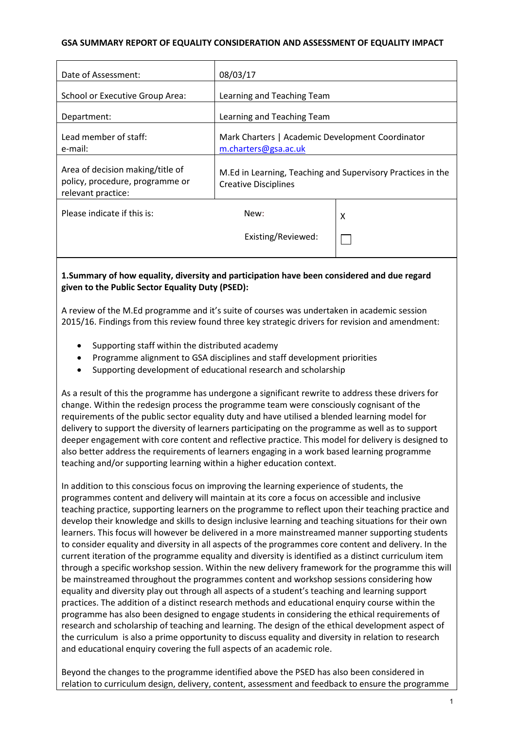#### **GSA SUMMARY REPORT OF EQUALITY CONSIDERATION AND ASSESSMENT OF EQUALITY IMPACT**

| Date of Assessment:                                                                       | 08/03/17                                                                                   |   |
|-------------------------------------------------------------------------------------------|--------------------------------------------------------------------------------------------|---|
| School or Executive Group Area:                                                           | Learning and Teaching Team                                                                 |   |
| Department:                                                                               | Learning and Teaching Team                                                                 |   |
| Lead member of staff:<br>e-mail:                                                          | Mark Charters   Academic Development Coordinator<br>m.charters@gsa.ac.uk                   |   |
| Area of decision making/title of<br>policy, procedure, programme or<br>relevant practice: | M.Ed in Learning, Teaching and Supervisory Practices in the<br><b>Creative Disciplines</b> |   |
| Please indicate if this is:                                                               | New:                                                                                       | x |
|                                                                                           | Existing/Reviewed:                                                                         |   |

## **1.Summary of how equality, diversity and participation have been considered and due regard given to the Public Sector Equality Duty (PSED):**

A review of the M.Ed programme and it's suite of courses was undertaken in academic session 2015/16. Findings from this review found three key strategic drivers for revision and amendment:

- Supporting staff within the distributed academy
- Programme alignment to GSA disciplines and staff development priorities
- Supporting development of educational research and scholarship

As a result of this the programme has undergone a significant rewrite to address these drivers for change. Within the redesign process the programme team were consciously cognisant of the requirements of the public sector equality duty and have utilised a blended learning model for delivery to support the diversity of learners participating on the programme as well as to support deeper engagement with core content and reflective practice. This model for delivery is designed to also better address the requirements of learners engaging in a work based learning programme teaching and/or supporting learning within a higher education context.

In addition to this conscious focus on improving the learning experience of students, the programmes content and delivery will maintain at its core a focus on accessible and inclusive teaching practice, supporting learners on the programme to reflect upon their teaching practice and develop their knowledge and skills to design inclusive learning and teaching situations for their own learners. This focus will however be delivered in a more mainstreamed manner supporting students to consider equality and diversity in all aspects of the programmes core content and delivery. In the current iteration of the programme equality and diversity is identified as a distinct curriculum item through a specific workshop session. Within the new delivery framework for the programme this will be mainstreamed throughout the programmes content and workshop sessions considering how equality and diversity play out through all aspects of a student's teaching and learning support practices. The addition of a distinct research methods and educational enquiry course within the programme has also been designed to engage students in considering the ethical requirements of research and scholarship of teaching and learning. The design of the ethical development aspect of the curriculum is also a prime opportunity to discuss equality and diversity in relation to research and educational enquiry covering the full aspects of an academic role.

Beyond the changes to the programme identified above the PSED has also been considered in relation to curriculum design, delivery, content, assessment and feedback to ensure the programme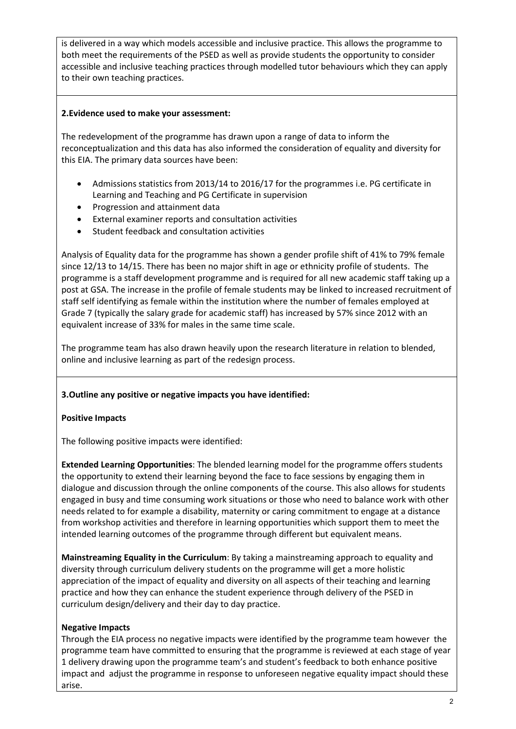is delivered in a way which models accessible and inclusive practice. This allows the programme to both meet the requirements of the PSED as well as provide students the opportunity to consider accessible and inclusive teaching practices through modelled tutor behaviours which they can apply to their own teaching practices.

#### **2.Evidence used to make your assessment:**

The redevelopment of the programme has drawn upon a range of data to inform the reconceptualization and this data has also informed the consideration of equality and diversity for this EIA. The primary data sources have been:

- Admissions statistics from 2013/14 to 2016/17 for the programmes i.e. PG certificate in Learning and Teaching and PG Certificate in supervision
- Progression and attainment data
- External examiner reports and consultation activities
- Student feedback and consultation activities

Analysis of Equality data for the programme has shown a gender profile shift of 41% to 79% female since 12/13 to 14/15. There has been no major shift in age or ethnicity profile of students. The programme is a staff development programme and is required for all new academic staff taking up a post at GSA. The increase in the profile of female students may be linked to increased recruitment of staff self identifying as female within the institution where the number of females employed at Grade 7 (typically the salary grade for academic staff) has increased by 57% since 2012 with an equivalent increase of 33% for males in the same time scale.

The programme team has also drawn heavily upon the research literature in relation to blended, online and inclusive learning as part of the redesign process.

## **3.Outline any positive or negative impacts you have identified:**

#### **Positive Impacts**

The following positive impacts were identified:

**Extended Learning Opportunities**: The blended learning model for the programme offers students the opportunity to extend their learning beyond the face to face sessions by engaging them in dialogue and discussion through the online components of the course. This also allows for students engaged in busy and time consuming work situations or those who need to balance work with other needs related to for example a disability, maternity or caring commitment to engage at a distance from workshop activities and therefore in learning opportunities which support them to meet the intended learning outcomes of the programme through different but equivalent means.

**Mainstreaming Equality in the Curriculum**: By taking a mainstreaming approach to equality and diversity through curriculum delivery students on the programme will get a more holistic appreciation of the impact of equality and diversity on all aspects of their teaching and learning practice and how they can enhance the student experience through delivery of the PSED in curriculum design/delivery and their day to day practice.

#### **Negative Impacts**

Through the EIA process no negative impacts were identified by the programme team however the programme team have committed to ensuring that the programme is reviewed at each stage of year 1 delivery drawing upon the programme team's and student's feedback to both enhance positive impact and adjust the programme in response to unforeseen negative equality impact should these arise.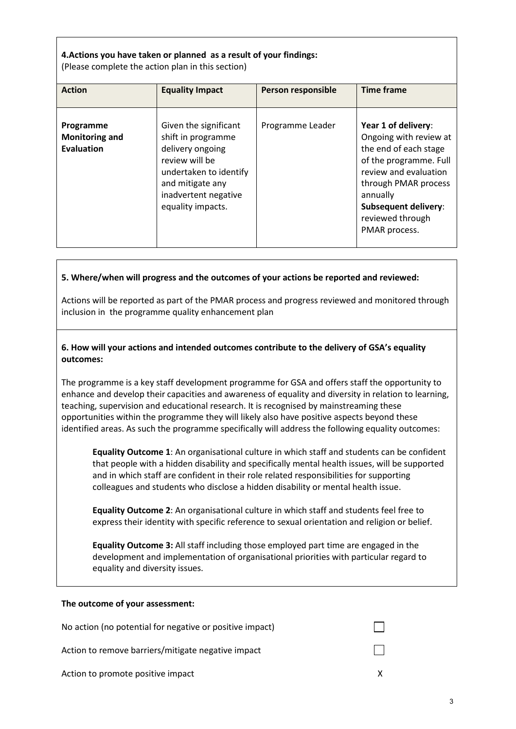## **4.Actions you have taken or planned as a result of your findings:**

(Please complete the action plan in this section)

| <b>Action</b>                                           | <b>Equality Impact</b>                                                                                                                                                       | Person responsible | <b>Time frame</b>                                                                                                                                                                                                                 |
|---------------------------------------------------------|------------------------------------------------------------------------------------------------------------------------------------------------------------------------------|--------------------|-----------------------------------------------------------------------------------------------------------------------------------------------------------------------------------------------------------------------------------|
| Programme<br><b>Monitoring and</b><br><b>Evaluation</b> | Given the significant<br>shift in programme<br>delivery ongoing<br>review will be<br>undertaken to identify<br>and mitigate any<br>inadvertent negative<br>equality impacts. | Programme Leader   | Year 1 of delivery:<br>Ongoing with review at<br>the end of each stage<br>of the programme. Full<br>review and evaluation<br>through PMAR process<br>annually<br><b>Subsequent delivery:</b><br>reviewed through<br>PMAR process. |

## **5. Where/when will progress and the outcomes of your actions be reported and reviewed:**

Actions will be reported as part of the PMAR process and progress reviewed and monitored through inclusion in the programme quality enhancement plan

### **6. How will your actions and intended outcomes contribute to the delivery of GSA's equality outcomes:**

The programme is a key staff development programme for GSA and offers staff the opportunity to enhance and develop their capacities and awareness of equality and diversity in relation to learning, teaching, supervision and educational research. It is recognised by mainstreaming these opportunities within the programme they will likely also have positive aspects beyond these identified areas. As such the programme specifically will address the following equality outcomes:

**Equality Outcome 1**: An organisational culture in which staff and students can be confident that people with a hidden disability and specifically mental health issues, will be supported and in which staff are confident in their role related responsibilities for supporting colleagues and students who disclose a hidden disability or mental health issue.

**Equality Outcome 2**: An organisational culture in which staff and students feel free to express their identity with specific reference to sexual orientation and religion or belief.

**Equality Outcome 3:** All staff including those employed part time are engaged in the development and implementation of organisational priorities with particular regard to equality and diversity issues.

#### **The outcome of your assessment:**

| No action (no potential for negative or positive impact) |  |
|----------------------------------------------------------|--|
| Action to remove barriers/mitigate negative impact       |  |
| Action to promote positive impact                        |  |